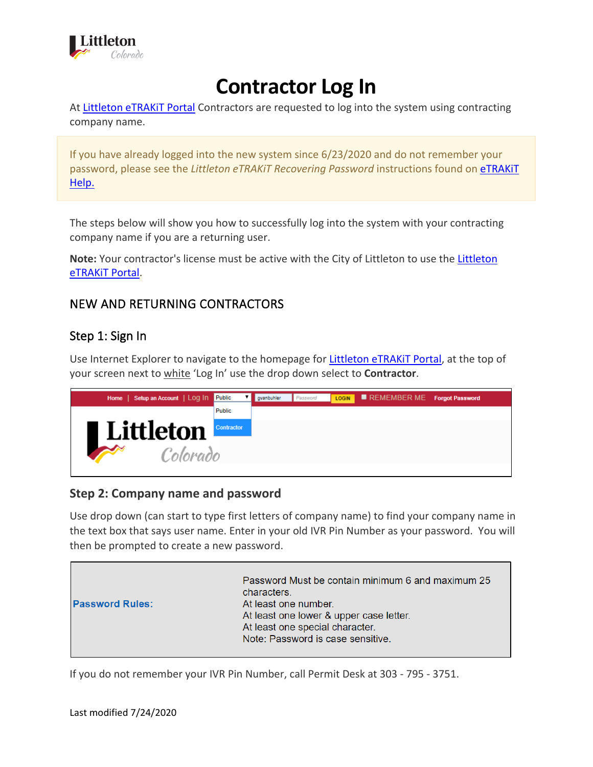

## **Contractor Log In**

At [Littleton eTRAKiT Portal](https://permit9.littletongov.org/eTRAKiT) Contractors are requested to log into the system using contracting company name.

If you have already logged into the new system since 6/23/2020 and do not remember your password, please see the *Littleton eTRAKiT Recovering Password* instructions found on [eTRAKiT](https://www.littletongov.org/building-development/etrakit-portal)  [Help.](https://www.littletongov.org/building-development/etrakit-portal)

The steps below will show you how to successfully log into the system with your contracting company name if you are a returning user.

**Note:** Your contractor's license must be active with the City of Littleton to use the [Littleton](https://permit9.littletongov.org/eTRAKiT)  [eTRAKiT Portal.](https://permit9.littletongov.org/eTRAKiT)

## NEW AND RETURNING CONTRACTORS

## Step 1: Sign In

Use Internet Explorer to navigate to the homepage for [Littleton eTRAKiT Portal,](https://permit9.littletongov.org/eTRAKiT) at the top of your screen next to white 'Log In' use the drop down select to **Contractor**.



## **Step 2: Company name and password**

Use drop down (can start to type first letters of company name) to find your company name in the text box that says user name. Enter in your old IVR Pin Number as your password. You will then be prompted to create a new password.



If you do not remember your IVR Pin Number, call Permit Desk at 303 - 795 - 3751.